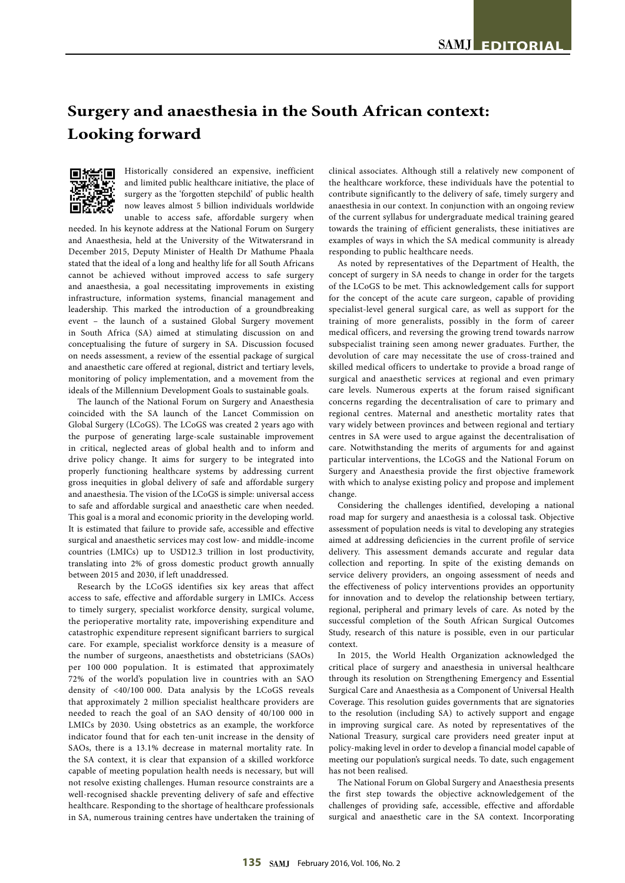# **Surgery and anaesthesia in the South African context: Looking forward**



Historically considered an expensive, inefficient and limited public healthcare initiative, the place of surgery as the 'forgotten stepchild' of public health now leaves almost 5 billion individuals worldwide unable to access safe, affordable surgery when

needed. In his keynote address at the National Forum on Surgery and Anaesthesia, held at the University of the Witwatersrand in December 2015, Deputy Minister of Health Dr Mathume Phaala stated that the ideal of a long and healthy life for all South Africans cannot be achieved without improved access to safe surgery and anaesthesia, a goal necessitating improvements in existing infrastructure, information systems, financial management and leadership. This marked the introduction of a groundbreaking event – the launch of a sustained Global Surgery movement in South Africa (SA) aimed at stimulating discussion on and conceptualising the future of surgery in SA. Discussion focused on needs assessment, a review of the essential package of surgical and anaesthetic care offered at regional, district and tertiary levels, monitoring of policy implementation, and a movement from the ideals of the Millennium Development Goals to sustainable goals.

The launch of the National Forum on Surgery and Anaesthesia coincided with the SA launch of the Lancet Commission on Global Surgery (LCoGS). The LCoGS was created 2 years ago with the purpose of generating large-scale sustainable improvement in critical, neglected areas of global health and to inform and drive policy change. It aims for surgery to be integrated into properly functioning healthcare systems by addressing current gross inequities in global delivery of safe and affordable surgery and anaesthesia. The vision of the LCoGS is simple: universal access to safe and affordable surgical and anaesthetic care when needed. This goal is a moral and economic priority in the developing world. It is estimated that failure to provide safe, accessible and effective surgical and anaesthetic services may cost low- and middle-income countries (LMICs) up to USD12.3 trillion in lost productivity, translating into 2% of gross domestic product growth annually between 2015 and 2030, if left unaddressed.

Research by the LCoGS identifies six key areas that affect access to safe, effective and affordable surgery in LMICs. Access to timely surgery, specialist workforce density, surgical volume, the perioperative mortality rate, impoverishing expenditure and catastrophic expenditure represent significant barriers to surgical care. For example, specialist workforce density is a measure of the number of surgeons, anaesthetists and obstetricians (SAOs) per 100 000 population. It is estimated that approximately 72% of the world's population live in countries with an SAO density of <40/100 000. Data analysis by the LCoGS reveals that approximately 2 million specialist healthcare providers are needed to reach the goal of an SAO density of 40/100 000 in LMICs by 2030. Using obstetrics as an example, the workforce indicator found that for each ten-unit increase in the density of SAOs, there is a 13.1% decrease in maternal mortality rate. In the SA context, it is clear that expansion of a skilled workforce capable of meeting population health needs is necessary, but will not resolve existing challenges. Human resource constraints are a well-recognised shackle preventing delivery of safe and effective healthcare. Responding to the shortage of healthcare professionals in SA, numerous training centres have undertaken the training of

clinical associates. Although still a relatively new component of the healthcare workforce, these individuals have the potential to contribute significantly to the delivery of safe, timely surgery and anaesthesia in our context. In conjunction with an ongoing review of the current syllabus for undergraduate medical training geared towards the training of efficient generalists, these initiatives are examples of ways in which the SA medical community is already responding to public healthcare needs.

As noted by representatives of the Department of Health, the concept of surgery in SA needs to change in order for the targets of the LCoGS to be met. This acknowledgement calls for support for the concept of the acute care surgeon, capable of providing specialist-level general surgical care, as well as support for the training of more generalists, possibly in the form of career medical officers, and reversing the growing trend towards narrow subspecialist training seen among newer graduates. Further, the devolution of care may necessitate the use of cross-trained and skilled medical officers to undertake to provide a broad range of surgical and anaesthetic services at regional and even primary care levels. Numerous experts at the forum raised significant concerns regarding the decentralisation of care to primary and regional centres. Maternal and anesthetic mortality rates that vary widely between provinces and between regional and tertiary centres in SA were used to argue against the decentralisation of care. Notwithstanding the merits of arguments for and against particular interventions, the LCoGS and the National Forum on Surgery and Anaesthesia provide the first objective framework with which to analyse existing policy and propose and implement change.

Considering the challenges identified, developing a national road map for surgery and anaesthesia is a colossal task. Objective assessment of population needs is vital to developing any strategies aimed at addressing deficiencies in the current profile of service delivery. This assessment demands accurate and regular data collection and reporting. In spite of the existing demands on service delivery providers, an ongoing assessment of needs and the effectiveness of policy interventions provides an opportunity for innovation and to develop the relationship between tertiary, regional, peripheral and primary levels of care. As noted by the successful completion of the South African Surgical Outcomes Study, research of this nature is possible, even in our particular context.

In 2015, the World Health Organization acknowledged the critical place of surgery and anaesthesia in universal healthcare through its resolution on Strengthening Emergency and Essential Surgical Care and Anaesthesia as a Component of Universal Health Coverage. This resolution guides governments that are signatories to the resolution (including SA) to actively support and engage in improving surgical care. As noted by representatives of the National Treasury, surgical care providers need greater input at policy-making level in order to develop a financial model capable of meeting our population's surgical needs. To date, such engagement has not been realised.

The National Forum on Global Surgery and Anaesthesia presents the first step towards the objective acknowledgement of the challenges of providing safe, accessible, effective and affordable surgical and anaesthetic care in the SA context. Incorporating